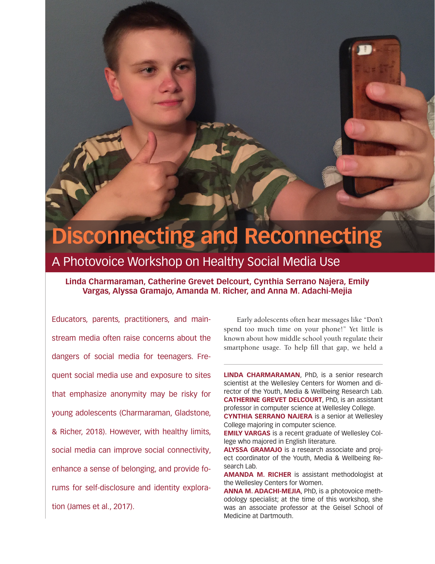# **Disconnecting and Reconnecting**

### A Photovoice Workshop on Healthy Social Media Use

#### **Linda Charmaraman, Catherine Grevet Delcourt, Cynthia Serrano Najera, Emily Vargas, Alyssa Gramajo, Amanda M. Richer, and Anna M. Adachi-Mejia**

Educators, parents, practitioners, and mainstream media often raise concerns about the dangers of social media for teenagers. Frequent social media use and exposure to sites that emphasize anonymity may be risky for young adolescents (Charmaraman, Gladstone, & Richer, 2018). However, with healthy limits, social media can improve social connectivity, enhance a sense of belonging, and provide forums for self-disclosure and identity exploration (James et al., 2017).

Early adolescents often hear messages like "Don't spend too much time on your phone!" Yet little is known about how middle school youth regulate their smartphone usage. To help fill that gap, we held a

**LINDA CHARMARAMAN**, PhD, is a senior research scientist at the Wellesley Centers for Women and director of the Youth, Media & Wellbeing Research Lab. **CATHERINE GREVET DELCOURT**, PhD, is an assistant professor in computer science at Wellesley College.

**CYNTHIA SERRANO NAJERA** is a senior at Wellesley College majoring in computer science.

**EMILY VARGAS** is a recent graduate of Wellesley College who majored in English literature.

**ALYSSA GRAMAJO** is a research associate and project coordinator of the Youth, Media & Wellbeing Research Lab.

**AMANDA M. RICHER** is assistant methodologist at the Wellesley Centers for Women.

**ANNA M. ADACHI-MEJIA**, PhD, is a photovoice methodology specialist; at the time of this workshop, she was an associate professor at the Geisel School of Medicine at Dartmouth.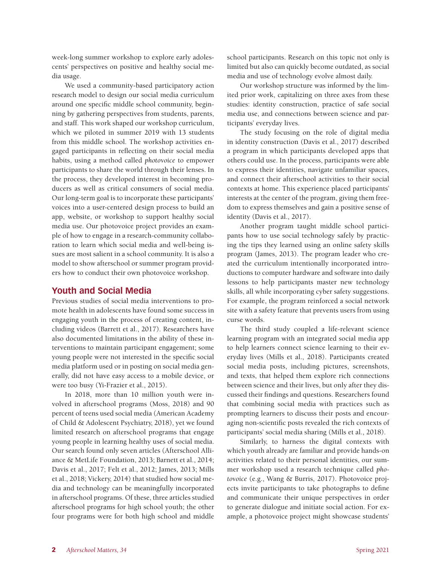week-long summer workshop to explore early adolescents' perspectives on positive and healthy social media usage.

We used a community-based participatory action research model to design our social media curriculum around one specific middle school community, beginning by gathering perspectives from students, parents, and staff. This work shaped our workshop curriculum, which we piloted in summer 2019 with 13 students from this middle school. The workshop activities engaged participants in reflecting on their social media habits, using a method called *photovoice* to empower participants to share the world through their lenses. In the process, they developed interest in becoming producers as well as critical consumers of social media. Our long-term goal is to incorporate these participants' voices into a user-centered design process to build an app, website, or workshop to support healthy social media use. Our photovoice project provides an example of how to engage in a research-community collaboration to learn which social media and well-being issues are most salient in a school community. It is also a model to show afterschool or summer program providers how to conduct their own photovoice workshop.

#### **Youth and Social Media**

Previous studies of social media interventions to promote health in adolescents have found some success in engaging youth in the process of creating content, including videos (Barrett et al., 2017). Researchers have also documented limitations in the ability of these interventions to maintain participant engagement; some young people were not interested in the specific social media platform used or in posting on social media generally, did not have easy access to a mobile device, or were too busy (Yi-Frazier et al., 2015).

In 2018, more than 10 million youth were involved in afterschool programs (Moss, 2018) and 90 percent of teens used social media (American Academy of Child & Adolescent Psychiatry, 2018), yet we found limited research on afterschool programs that engage young people in learning healthy uses of social media. Our search found only seven articles (Afterschool Alliance & MetLife Foundation, 2013; Barnett et al., 2014; Davis et al., 2017; Felt et al., 2012; James, 2013; Mills et al., 2018; Vickery, 2014) that studied how social media and technology can be meaningfully incorporated in afterschool programs. Of these, three articles studied afterschool programs for high school youth; the other four programs were for both high school and middle school participants. Research on this topic not only is limited but also can quickly become outdated, as social media and use of technology evolve almost daily.

Our workshop structure was informed by the limited prior work, capitalizing on three axes from these studies: identity construction, practice of safe social media use, and connections between science and participants' everyday lives.

The study focusing on the role of digital media in identity construction (Davis et al., 2017) described a program in which participants developed apps that others could use. In the process, participants were able to express their identities, navigate unfamiliar spaces, and connect their afterschool activities to their social contexts at home. This experience placed participants' interests at the center of the program, giving them freedom to express themselves and gain a positive sense of identity (Davis et al., 2017).

Another program taught middle school participants how to use social technology safely by practicing the tips they learned using an online safety skills program (James, 2013). The program leader who created the curriculum intentionally incorporated introductions to computer hardware and software into daily lessons to help participants master new technology skills, all while incorporating cyber safety suggestions. For example, the program reinforced a social network site with a safety feature that prevents users from using curse words.

The third study coupled a life-relevant science learning program with an integrated social media app to help learners connect science learning to their everyday lives (Mills et al., 2018). Participants created social media posts, including pictures, screenshots, and texts, that helped them explore rich connections between science and their lives, but only after they discussed their findings and questions. Researchers found that combining social media with practices such as prompting learners to discuss their posts and encouraging non-scientific posts revealed the rich contexts of participants' social media sharing (Mills et al., 2018).

Similarly, to harness the digital contexts with which youth already are familiar and provide hands-on activities related to their personal identities, our summer workshop used a research technique called *photovoice* (e.g., Wang & Burris, 2017). Photovoice projects invite participants to take photographs to define and communicate their unique perspectives in order to generate dialogue and initiate social action. For example, a photovoice project might showcase students'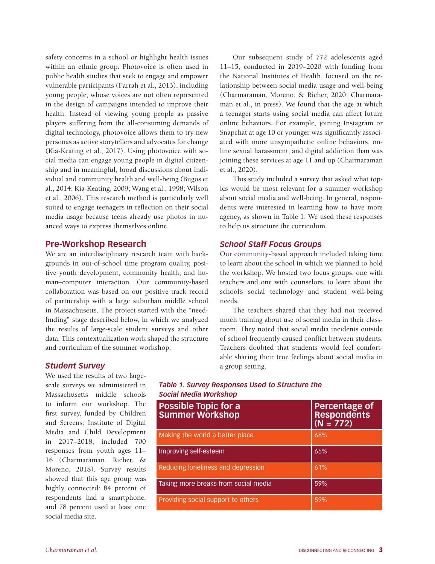safety concerns in a school or highlight health issues within an ethnic group. Photovoice is often used in public health studies that seek to engage and empower vulnerable participants (Farrah et al., 2013), including young people, whose voices are not often represented in the design of campaigns intended to improve their health. Instead of viewing young people as passive players suffering from the all-consuming demands of digital technology, photovoice allows them to try new personas as active storytellers and advocates for change (Kia-Keating et al., 2017). Using photovoice with social media can engage young people in digital citizenship and in meaningful, broad discussions about individual and community health and well-being (Bugos et al., 2014; Kia-Keating, 2009; Wang et al., 1998; Wilson et al., 2006). This research method is particularly well suited to engage teenagers in reflection on their social media usage because teens already use photos in nuanced ways to express themselves online.

#### **Pre-Workshop Research**

We are an interdisciplinary research team with backgrounds in out-of-school time program quality, positive youth development, community health, and human–computer interaction. Our community-based collaboration was based on our positive track record of partnership with a large suburban middle school in Massachusetts. The project started with the "needfinding" stage described below, in which we analyzed the results of large-scale student surveys and other data. This contextualization work shaped the structure and curriculum of the summer workshop.

Our subsequent study of 772 adolescents aged 11–15, conducted in 2019–2020 with funding from the National Institutes of Health, focused on the relationship between social media usage and well-being (Charmaraman, Moreno, & Richer, 2020; Charmaraman et al., in press). We found that the age at which a teenager starts using social media can affect future online behaviors. For example, joining Instagram or Snapchat at age 10 or younger was significantly associated with more unsympathetic online behaviors, online sexual harassment, and digital addiction than was joining these services at age 11 and up (Charmaraman et al., 2020).

This study included a survey that asked what topics would be most relevant for a summer workshop about social media and well-being. In general, respondents were interested in learning how to have more agency, as shown in Table 1. We used these responses to help us structure the curriculum.

#### *School Staff Focus Groups*

Our community-based approach included taking time to learn about the school in which we planned to hold the workshop. We hosted two focus groups, one with teachers and one with counselors, to learn about the school's social technology and student well-being needs.

The teachers shared that they had not received much training about use of social media in their classroom. They noted that social media incidents outside of school frequently caused conflict between students. Teachers doubted that students would feel comfortable sharing their true feelings about social media in a group setting.

#### *Student Survey*

We used the results of two largescale surveys we administered in Massachusetts middle schools to inform our workshop. The first survey, funded by Children and Screens: Institute of Digital Media and Child Development in 2017–2018, included 700 responses from youth ages 11– 16 (Charmaraman, Richer, & Moreno, 2018). Survey results showed that this age group was highly connected: 84 percent of respondents had a smartphone, and 78 percent used at least one social media site.

#### *Table 1. Survey Responses Used to Structure the Social Media Workshop*

| <b>Possible Topic for a</b><br><b>Summer Workshop</b> | <b>Percentage of</b><br><b>Respondents</b><br>$(N = 772)$ |
|-------------------------------------------------------|-----------------------------------------------------------|
| Making the world a better place                       | 68%                                                       |
| Improving self-esteem                                 | 65%                                                       |
| Reducing loneliness and depression                    | 61%                                                       |
| Taking more breaks from social media                  | 59%                                                       |
| Providing social support to others                    | 59%                                                       |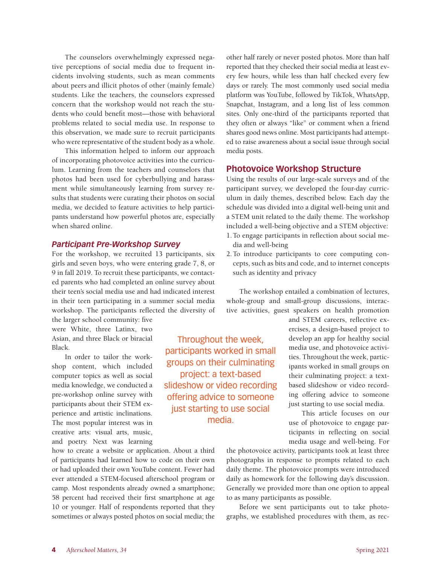The counselors overwhelmingly expressed negative perceptions of social media due to frequent incidents involving students, such as mean comments about peers and illicit photos of other (mainly female) students. Like the teachers, the counselors expressed concern that the workshop would not reach the students who could benefit most—those with behavioral problems related to social media use. In response to this observation, we made sure to recruit participants who were representative of the student body as a whole.

This information helped to inform our approach of incorporating photovoice activities into the curriculum. Learning from the teachers and counselors that photos had been used for cyberbullying and harassment while simultaneously learning from survey results that students were curating their photos on social media, we decided to feature activities to help participants understand how powerful photos are, especially when shared online.

#### *Participant Pre-Workshop Survey*

For the workshop, we recruited 13 participants, six girls and seven boys, who were entering grade 7, 8, or 9 in fall 2019. To recruit these participants, we contacted parents who had completed an online survey about their teen's social media use and had indicated interest in their teen participating in a summer social media workshop. The participants reflected the diversity of

the larger school community: five were White, three Latinx, two Asian, and three Black or biracial Black.

In order to tailor the workshop content, which included computer topics as well as social media knowledge, we conducted a pre-workshop online survey with participants about their STEM experience and artistic inclinations. The most popular interest was in creative arts: visual arts, music, and poetry. Next was learning

how to create a website or application. About a third of participants had learned how to code on their own or had uploaded their own YouTube content. Fewer had ever attended a STEM-focused afterschool program or camp. Most respondents already owned a smartphone; 58 percent had received their first smartphone at age 10 or younger. Half of respondents reported that they sometimes or always posted photos on social media; the

other half rarely or never posted photos. More than half reported that they checked their social media at least every few hours, while less than half checked every few days or rarely. The most commonly used social media platform was YouTube, followed by TikTok, WhatsApp, Snapchat, Instagram, and a long list of less common sites. Only one-third of the participants reported that they often or always "like" or comment when a friend shares good news online. Most participants had attempted to raise awareness about a social issue through social media posts.

#### **Photovoice Workshop Structure**

Using the results of our large-scale surveys and of the participant survey, we developed the four-day curriculum in daily themes, described below. Each day the schedule was divided into a digital well-being unit and a STEM unit related to the daily theme. The workshop included a well-being objective and a STEM objective: 1.To engage participants in reflection about social me-

- dia and well-being
- 2.To introduce participants to core computing concepts, such as bits and code, and to internet concepts such as identity and privacy

The workshop entailed a combination of lectures, whole-group and small-group discussions, interactive activities, guest speakers on health promotion

Throughout the week, participants worked in small groups on their culminating project: a text-based slideshow or video recording offering advice to someone just starting to use social media.

and STEM careers, reflective exercises, a design-based project to develop an app for healthy social media use, and photovoice activities. Throughout the week, participants worked in small groups on their culminating project: a textbased slideshow or video recording offering advice to someone just starting to use social media.

This article focuses on our use of photovoice to engage participants in reflecting on social media usage and well-being. For

the photovoice activity, participants took at least three photographs in response to prompts related to each daily theme. The photovoice prompts were introduced daily as homework for the following day's discussion. Generally we provided more than one option to appeal to as many participants as possible.

Before we sent participants out to take photographs, we established procedures with them, as rec-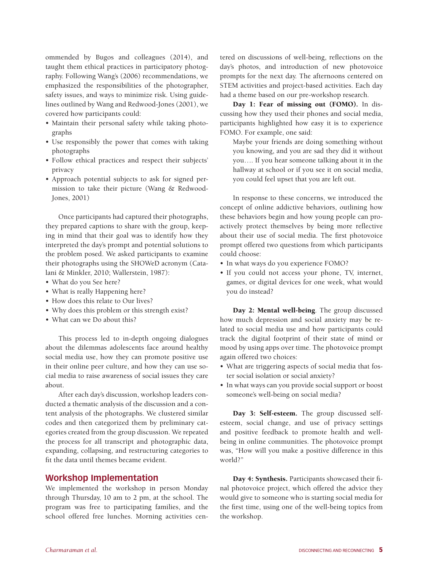ommended by Bugos and colleagues (2014), and taught them ethical practices in participatory photography. Following Wang's (2006) recommendations, we emphasized the responsibilities of the photographer, safety issues, and ways to minimize risk. Using guidelines outlined by Wang and Redwood-Jones (2001), we covered how participants could:

- Maintain their personal safety while taking photographs
- Use responsibly the power that comes with taking photographs
- Follow ethical practices and respect their subjects' privacy
- Approach potential subjects to ask for signed permission to take their picture (Wang & Redwood-Jones, 2001)

Once participants had captured their photographs, they prepared captions to share with the group, keeping in mind that their goal was to identify how they interpreted the day's prompt and potential solutions to the problem posed. We asked participants to examine their photographs using the SHOWeD acronym (Catalani & Minkler, 2010; Wallerstein, 1987):

- What do you See here?
- What is really Happening here?
- How does this relate to Our lives?
- Why does this problem or this strength exist?
- What can we Do about this?

This process led to in-depth ongoing dialogues about the dilemmas adolescents face around healthy social media use, how they can promote positive use in their online peer culture, and how they can use social media to raise awareness of social issues they care about.

After each day's discussion, workshop leaders conducted a thematic analysis of the discussion and a content analysis of the photographs. We clustered similar codes and then categorized them by preliminary categories created from the group discussion. We repeated the process for all transcript and photographic data, expanding, collapsing, and restructuring categories to fit the data until themes became evident.

#### **Workshop Implementation**

We implemented the workshop in person Monday through Thursday, 10 am to 2 pm, at the school. The program was free to participating families, and the school offered free lunches. Morning activities centered on discussions of well-being, reflections on the day's photos, and introduction of new photovoice prompts for the next day. The afternoons centered on STEM activities and project-based activities. Each day had a theme based on our pre-workshop research.

Day 1: Fear of missing out (FOMO). In discussing how they used their phones and social media, participants highlighted how easy it is to experience FOMO. For example, one said:

Maybe your friends are doing something without you knowing, and you are sad they did it without you…. If you hear someone talking about it in the hallway at school or if you see it on social media, you could feel upset that you are left out.

In response to these concerns, we introduced the concept of online addictive behaviors, outlining how these behaviors begin and how young people can proactively protect themselves by being more reflective about their use of social media. The first photovoice prompt offered two questions from which participants could choose:

- In what ways do you experience FOMO?
- If you could not access your phone, TV, internet, games, or digital devices for one week, what would you do instead?

Day 2: Mental well-being. The group discussed how much depression and social anxiety may be related to social media use and how participants could track the digital footprint of their state of mind or mood by using apps over time. The photovoice prompt again offered two choices:

- What are triggering aspects of social media that foster social isolation or social anxiety?
- In what ways can you provide social support or boost someone's well-being on social media?

Day 3: Self-esteem. The group discussed selfesteem, social change, and use of privacy settings and positive feedback to promote health and wellbeing in online communities. The photovoice prompt was, "How will you make a positive difference in this world?"

Day 4: Synthesis. Participants showcased their final photovoice project, which offered the advice they would give to someone who is starting social media for the first time, using one of the well-being topics from the workshop.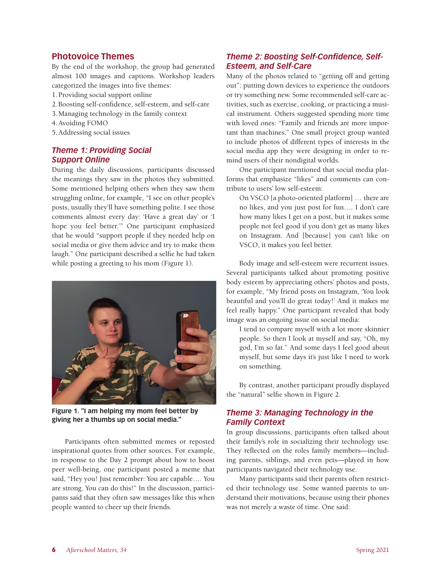#### **Photovoice Themes**

By the end of the workshop, the group had generated almost 100 images and captions. Workshop leaders categorized the images into five themes:

- 1.Providing social support online
- 2.Boosting self-confidence, self-esteem, and self-care
- 3.Managing technology in the family context
- 4.Avoiding FOMO
- 5.Addressing social issues

#### *Theme 1: Providing Social Support Online*

During the daily discussions, participants discussed the meanings they saw in the photos they submitted. Some mentioned helping others when they saw them struggling online, for example, "I see on other people's posts, usually they'll have something polite. I see those comments almost every day: 'Have a great day' or 'I hope you feel better.'" One participant emphasized that he would "support people if they needed help on social media or give them advice and try to make them laugh." One participant described a selfie he had taken while posting a greeting to his mom (Figure 1).



**Figure 1. "I am helping my mom feel better by giving her a thumbs up on social media."**

Participants often submitted memes or reposted inspirational quotes from other sources. For example, in response to the Day 2 prompt about how to boost peer well-being, one participant posted a meme that said, "Hey you! Just remember: You are capable…. You are strong. You can do this!" In the discussion, participants said that they often saw messages like this when people wanted to cheer up their friends.

#### *Theme 2: Boosting Self-Confidence, Self-Esteem, and Self-Care*

Many of the photos related to "getting off and getting out": putting down devices to experience the outdoors or try something new. Some recommended self-care activities, such as exercise, cooking, or practicing a musical instrument. Others suggested spending more time with loved ones: "Family and friends are more important than machines." One small project group wanted to include photos of different types of interests in the social media app they were designing in order to remind users of their nondigital worlds.

One participant mentioned that social media platforms that emphasize "likes" and comments can contribute to users' low self-esteem:

On VSCO [a photo-oriented platform] … there are no likes, and you just post for fun…. I don't care how many likes I get on a post, but it makes some people not feel good if you don't get as many likes on Instagram. And [because] you can't like on VSCO, it makes you feel better.

Body image and self-esteem were recurrent issues. Several participants talked about promoting positive body esteem by appreciating others' photos and posts, for example, "My friend posts on Instagram, 'You look beautiful and you'll do great today!' And it makes me feel really happy." One participant revealed that body image was an ongoing issue on social media:

I tend to compare myself with a lot more skinnier people. So then I look at myself and say, "Oh, my god, I'm so fat." And some days I feel good about myself, but some days it's just like I need to work on something.

By contrast, another participant proudly displayed the "natural" selfie shown in Figure 2.

#### *Theme 3: Managing Technology in the Family Context*

In group discussions, participants often talked about their family's role in socializing their technology use. They reflected on the roles family members—including parents, siblings, and even pets—played in how participants navigated their technology use.

Many participants said their parents often restricted their technology use. Some wanted parents to understand their motivations, because using their phones was not merely a waste of time. One said: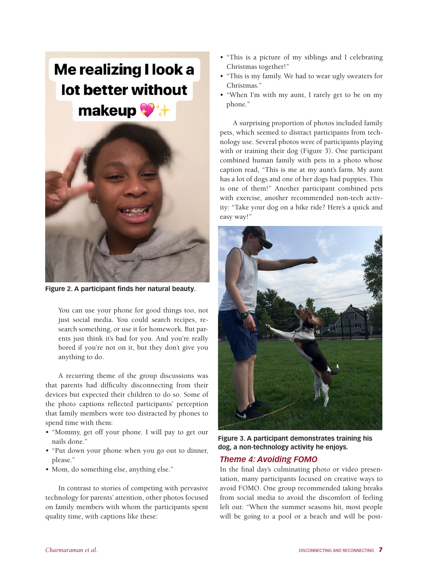## Me realizing I look a lot better without makeup



**Figure 2. A participant finds her natural beauty.**

You can use your phone for good things too, not just social media. You could search recipes, research something, or use it for homework. But parents just think it's bad for you. And you're really bored if you're not on it, but they don't give you anything to do.

A recurring theme of the group discussions was that parents had difficulty disconnecting from their devices but expected their children to do so. Some of the photo captions reflected participants' perception that family members were too distracted by phones to spend time with them:

- "Mommy, get off your phone. I will pay to get our nails done."
- "Put down your phone when you go out to dinner, please."
- Mom, do something else, anything else."

In contrast to stories of competing with pervasive technology for parents' attention, other photos focused on family members with whom the participants spent quality time, with captions like these:

- "This is a picture of my siblings and I celebrating Christmas together!"
- "This is my family. We had to wear ugly sweaters for Christmas."
- "When I'm with my aunt, I rarely get to be on my phone."

A surprising proportion of photos included family pets, which seemed to distract participants from technology use. Several photos were of participants playing with or training their dog (Figure 3). One participant combined human family with pets in a photo whose caption read, "This is me at my aunt's farm. My aunt has a lot of dogs and one of her dogs had puppies. This is one of them!" Another participant combined pets with exercise, another recommended non-tech activity: "Take your dog on a bike ride? Here's a quick and easy way!"



**Figure 3. A participant demonstrates training his dog, a non-technology activity he enjoys.**

#### *Theme 4: Avoiding FOMO*

In the final day's culminating photo or video presentation, many participants focused on creative ways to avoid FOMO. One group recommended taking breaks from social media to avoid the discomfort of feeling left out: "When the summer seasons hit, most people will be going to a pool or a beach and will be post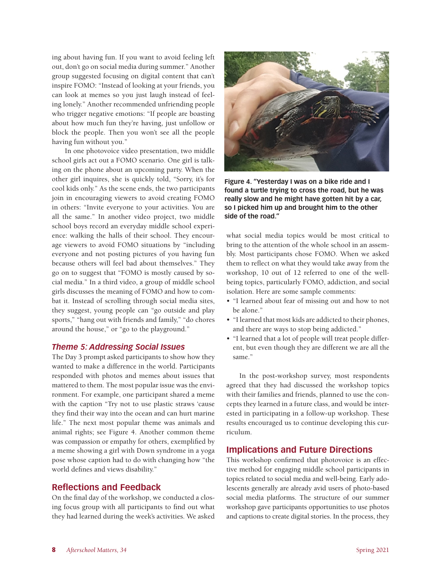ing about having fun. If you want to avoid feeling left out, don't go on social media during summer." Another group suggested focusing on digital content that can't inspire FOMO: "Instead of looking at your friends, you can look at memes so you just laugh instead of feeling lonely." Another recommended unfriending people who trigger negative emotions: "If people are boasting about how much fun they're having, just unfollow or block the people. Then you won't see all the people having fun without you."

In one photovoice video presentation, two middle school girls act out a FOMO scenario. One girl is talking on the phone about an upcoming party. When the other girl inquires, she is quickly told, "Sorry, it's for cool kids only." As the scene ends, the two participants join in encouraging viewers to avoid creating FOMO in others: "Invite everyone to your activities. You are all the same." In another video project, two middle school boys record an everyday middle school experience: walking the halls of their school. They encourage viewers to avoid FOMO situations by "including everyone and not posting pictures of you having fun because others will feel bad about themselves." They go on to suggest that "FOMO is mostly caused by social media." In a third video, a group of middle school girls discusses the meaning of FOMO and how to combat it. Instead of scrolling through social media sites, they suggest, young people can "go outside and play sports," "hang out with friends and family," "do chores around the house," or "go to the playground."

#### *Theme 5: Addressing Social Issues*

The Day 3 prompt asked participants to show how they wanted to make a difference in the world. Participants responded with photos and memes about issues that mattered to them. The most popular issue was the environment. For example, one participant shared a meme with the caption "Try not to use plastic straws 'cause they find their way into the ocean and can hurt marine life." The next most popular theme was animals and animal rights; see Figure 4. Another common theme was compassion or empathy for others, exemplified by a meme showing a girl with Down syndrome in a yoga pose whose caption had to do with changing how "the world defines and views disability."

#### **Reflections and Feedback**

On the final day of the workshop, we conducted a closing focus group with all participants to find out what they had learned during the week's activities. We asked



**Figure 4. "Yesterday I was on a bike ride and I found a turtle trying to cross the road, but he was really slow and he might have gotten hit by a car, so I picked him up and brought him to the other side of the road."**

what social media topics would be most critical to bring to the attention of the whole school in an assembly. Most participants chose FOMO. When we asked them to reflect on what they would take away from the workshop, 10 out of 12 referred to one of the wellbeing topics, particularly FOMO, addiction, and social isolation. Here are some sample comments:

- "I learned about fear of missing out and how to not be alone."
- "I learned that most kids are addicted to their phones, and there are ways to stop being addicted."
- "I learned that a lot of people will treat people different, but even though they are different we are all the same."

In the post-workshop survey, most respondents agreed that they had discussed the workshop topics with their families and friends, planned to use the concepts they learned in a future class, and would be interested in participating in a follow-up workshop. These results encouraged us to continue developing this curriculum.

#### **Implications and Future Directions**

This workshop confirmed that photovoice is an effective method for engaging middle school participants in topics related to social media and well-being. Early adolescents generally are already avid users of photo-based social media platforms. The structure of our summer workshop gave participants opportunities to use photos and captions to create digital stories. In the process, they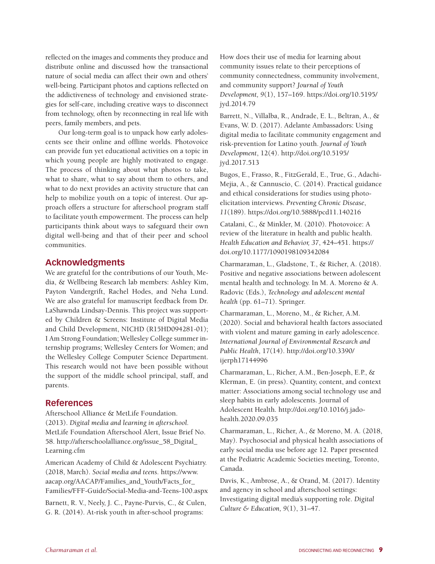reflected on the images and comments they produce and distribute online and discussed how the transactional nature of social media can affect their own and others' well-being. Participant photos and captions reflected on the addictiveness of technology and envisioned strategies for self-care, including creative ways to disconnect from technology, often by reconnecting in real life with peers, family members, and pets.

Our long-term goal is to unpack how early adolescents see their online and offline worlds. Photovoice can provide fun yet educational activities on a topic in which young people are highly motivated to engage. The process of thinking about what photos to take, what to share, what to say about them to others, and what to do next provides an activity structure that can help to mobilize youth on a topic of interest. Our approach offers a structure for afterschool program staff to facilitate youth empowerment. The process can help participants think about ways to safeguard their own digital well-being and that of their peer and school communities.

#### **Acknowledgments**

We are grateful for the contributions of our Youth, Media, & Wellbeing Research lab members: Ashley Kim, Payton Vandergrift, Rachel Hodes, and Neha Lund. We are also grateful for manuscript feedback from Dr. LaShawnda Lindsay-Dennis. This project was supported by Children & Screens: Institute of Digital Media and Child Development, NICHD (R15HD094281-01); I Am Strong Foundation; Wellesley College summer internship programs; Wellesley Centers for Women; and the Wellesley College Computer Science Department. This research would not have been possible without the support of the middle school principal, staff, and parents.

#### **References**

Afterschool Alliance & MetLife Foundation. (2013). *Digital media and learning in afterschool.*  MetLife Foundation Afterschool Alert, Issue Brief No. 58. http://afterschoolalliance.org/issue\_58\_Digital\_ Learning.cfm

American Academy of Child & Adolescent Psychiatry. (2018, March). *Social media and teens.* https://www. aacap.org/AACAP/Families\_and\_Youth/Facts\_for\_ Families/FFF-Guide/Social-Media-and-Teens-100.aspx

Barnett, R. V., Neely, J. C., Payne-Purvis, C., & Culen, G. R. (2014). At-risk youth in after-school programs:

How does their use of media for learning about community issues relate to their perceptions of community connectedness, community involvement, and community support? *Journal of Youth Development, 9*(1), 157–169. https://doi.org/10.5195/ jyd.2014.79

Barrett, N., Villalba, R., Andrade, E. L., Beltran, A., & Evans, W. D. (2017). Adelante Ambassadors: Using digital media to facilitate community engagement and risk-prevention for Latino youth. *Journal of Youth Development*, 12(4). http://doi.org/10.5195/ jyd.2017.513

Bugos, E., Frasso, R., FitzGerald, E., True, G., Adachi-Mejia, A., & Cannuscio, C. (2014). Practical guidance and ethical considerations for studies using photoelicitation interviews. *Preventing Chronic Disease*, *11*(189). https://doi.org/10.5888/pcd11.140216

Catalani, C., & Minkler, M. (2010). Photovoice: A review of the literature in health and public health. *Health Education and Behavior, 37*, 424–451. https:// doi.org/10.1177/1090198109342084

Charmaraman, L., Gladstone, T., & Richer, A. (2018). Positive and negative associations between adolescent mental health and technology. In M. A. Moreno & A. Radovic (Eds.), *Technology and adolescent mental health* (pp. 61–71). Springer.

Charmaraman, L., Moreno, M., & Richer, A.M. (2020). Social and behavioral health factors associated with violent and mature gaming in early adolescence. *International Journal of Environmental Research and Public Health*, 17(14). http://doi.org/10.3390/ ijerph17144996

Charmaraman, L., Richer, A.M., Ben-Joseph, E.P., & Klerman, E. (in press). Quantity, content, and context matter: Associations among social technology use and sleep habits in early adolescents. Journal of Adolescent Health. http://doi.org/10.1016/j.jadohealth.2020.09.035

Charmaraman, L., Richer, A., & Moreno, M. A. (2018, May). Psychosocial and physical health associations of early social media use before age 12. Paper presented at the Pediatric Academic Societies meeting, Toronto, Canada.

Davis, K., Ambrose, A., & Orand, M. (2017). Identity and agency in school and afterschool settings: Investigating digital media's supporting role. *Digital Culture & Education, 9*(1), 31–47.